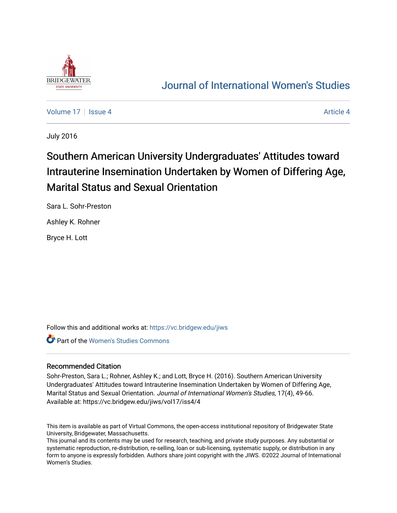

## [Journal of International Women's Studies](https://vc.bridgew.edu/jiws)

[Volume 17](https://vc.bridgew.edu/jiws/vol17) Setupate 4 [Article 4](https://vc.bridgew.edu/jiws/vol17/iss4/4) Article 4 Article 4 Article 4

July 2016

# Southern American University Undergraduates' Attitudes toward Intrauterine Insemination Undertaken by Women of Differing Age, Marital Status and Sexual Orientation

Sara L. Sohr-Preston

Ashley K. Rohner

Bryce H. Lott

Follow this and additional works at: [https://vc.bridgew.edu/jiws](https://vc.bridgew.edu/jiws?utm_source=vc.bridgew.edu%2Fjiws%2Fvol17%2Fiss4%2F4&utm_medium=PDF&utm_campaign=PDFCoverPages)

Part of the [Women's Studies Commons](http://network.bepress.com/hgg/discipline/561?utm_source=vc.bridgew.edu%2Fjiws%2Fvol17%2Fiss4%2F4&utm_medium=PDF&utm_campaign=PDFCoverPages) 

#### Recommended Citation

Sohr-Preston, Sara L.; Rohner, Ashley K.; and Lott, Bryce H. (2016). Southern American University Undergraduates' Attitudes toward Intrauterine Insemination Undertaken by Women of Differing Age, Marital Status and Sexual Orientation. Journal of International Women's Studies, 17(4), 49-66. Available at: https://vc.bridgew.edu/jiws/vol17/iss4/4

This item is available as part of Virtual Commons, the open-access institutional repository of Bridgewater State University, Bridgewater, Massachusetts.

This journal and its contents may be used for research, teaching, and private study purposes. Any substantial or systematic reproduction, re-distribution, re-selling, loan or sub-licensing, systematic supply, or distribution in any form to anyone is expressly forbidden. Authors share joint copyright with the JIWS. ©2022 Journal of International Women's Studies.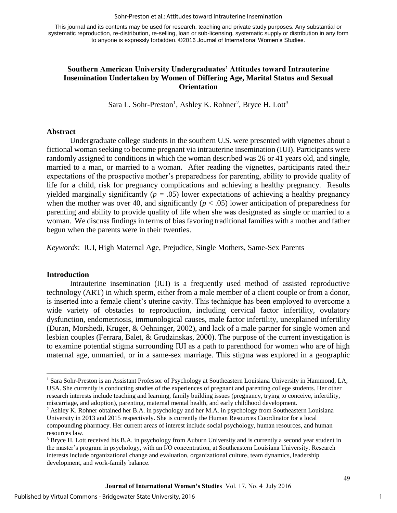This journal and its contents may be used for research, teaching and private study purposes. Any substantial or systematic reproduction, re-distribution, re-selling, loan or sub-licensing, systematic supply or distribution in any form to anyone is expressly forbidden. ©2016 Journal of International Women's Studies.

#### **Southern American University Undergraduates' Attitudes toward Intrauterine Insemination Undertaken by Women of Differing Age, Marital Status and Sexual Orientation**

Sara L. Sohr-Preston<sup>1</sup>, Ashley K. Rohner<sup>2</sup>, Bryce H. Lott<sup>3</sup>

#### **Abstract**

Undergraduate college students in the southern U.S. were presented with vignettes about a fictional woman seeking to become pregnant via intrauterine insemination (IUI). Participants were randomly assigned to conditions in which the woman described was 26 or 41 years old, and single, married to a man, or married to a woman. After reading the vignettes, participants rated their expectations of the prospective mother's preparedness for parenting, ability to provide quality of life for a child, risk for pregnancy complications and achieving a healthy pregnancy. Results yielded marginally significantly ( $p = .05$ ) lower expectations of achieving a healthy pregnancy when the mother was over 40, and significantly  $(p < .05)$  lower anticipation of preparedness for parenting and ability to provide quality of life when she was designated as single or married to a woman. We discuss findings in terms of bias favoring traditional families with a mother and father begun when the parents were in their twenties.

*Keywords*: IUI, High Maternal Age, Prejudice, Single Mothers, Same-Sex Parents

#### **Introduction**

 $\overline{a}$ 

Intrauterine insemination (IUI) is a frequently used method of assisted reproductive technology (ART) in which sperm, either from a male member of a client couple or from a donor, is inserted into a female client's uterine cavity. This technique has been employed to overcome a wide variety of obstacles to reproduction, including cervical factor infertility, ovulatory dysfunction, endometriosis, immunological causes, male factor infertility, unexplained infertility (Duran, Morshedi, Kruger, & Oehninger, 2002), and lack of a male partner for single women and lesbian couples (Ferrara, Balet, & Grudzinskas, 2000). The purpose of the current investigation is to examine potential stigma surrounding IUI as a path to parenthood for women who are of high maternal age, unmarried, or in a same-sex marriage. This stigma was explored in a geographic

1

<sup>&</sup>lt;sup>1</sup> Sara Sohr-Preston is an Assistant Professor of Psychology at Southeastern Louisiana University in Hammond, LA, USA. She currently is conducting studies of the experiences of pregnant and parenting college students. Her other research interests include teaching and learning, family building issues (pregnancy, trying to conceive, infertility, miscarriage, and adoption), parenting, maternal mental health, and early childhood development.

<sup>&</sup>lt;sup>2</sup> Ashley K. Rohner obtained her B.A. in psychology and her M.A. in psychology from Southeastern Louisiana University in 2013 and 2015 respectively. She is currently the Human Resources Coordinator for a local compounding pharmacy. Her current areas of interest include social psychology, human resources, and human resources law.

<sup>&</sup>lt;sup>3</sup> Bryce H. Lott received his B.A. in psychology from Auburn University and is currently a second year student in the master's program in psychology, with an I/O concentration, at Southeastern Louisiana University. Research interests include organizational change and evaluation, organizational culture, team dynamics, leadership development, and work-family balance.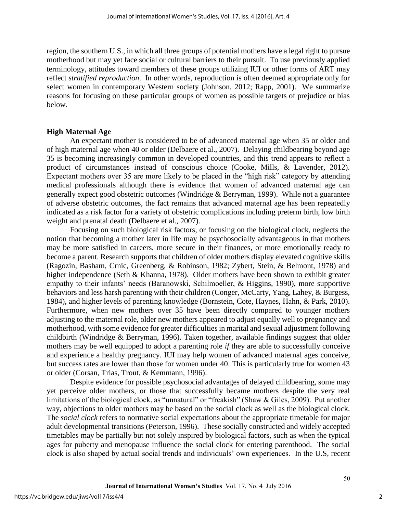region, the southern U.S., in which all three groups of potential mothers have a legal right to pursue motherhood but may yet face social or cultural barriers to their pursuit. To use previously applied terminology, attitudes toward members of these groups utilizing IUI or other forms of ART may reflect *stratified reproduction*. In other words, reproduction is often deemed appropriate only for select women in contemporary Western society (Johnson, 2012; Rapp, 2001). We summarize reasons for focusing on these particular groups of women as possible targets of prejudice or bias below.

#### **High Maternal Age**

An expectant mother is considered to be of advanced maternal age when 35 or older and of high maternal age when 40 or older (Delbaere et al., 2007). Delaying childbearing beyond age 35 is becoming increasingly common in developed countries, and this trend appears to reflect a product of circumstances instead of conscious choice (Cooke, Mills, & Lavender, 2012). Expectant mothers over 35 are more likely to be placed in the "high risk" category by attending medical professionals although there is evidence that women of advanced maternal age can generally expect good obstetric outcomes (Windridge & Berryman, 1999). While not a guarantee of adverse obstetric outcomes, the fact remains that advanced maternal age has been repeatedly indicated as a risk factor for a variety of obstetric complications including preterm birth, low birth weight and prenatal death (Delbaere et al., 2007).

Focusing on such biological risk factors, or focusing on the biological clock, neglects the notion that becoming a mother later in life may be psychosocially advantageous in that mothers may be more satisfied in careers, more secure in their finances, or more emotionally ready to become a parent. Research supports that children of older mothers display elevated cognitive skills (Ragozin, Basham, Crnic, Greenberg, & Robinson, 1982; Zybert, Stein, & Belmont, 1978) and higher independence (Seth & Khanna, 1978). Older mothers have been shown to exhibit greater empathy to their infants' needs (Baranowski, Schilmoeller, & Higgins, 1990), more supportive behaviors and less harsh parenting with their children (Conger, McCarty, Yang, Lahey, & Burgess, 1984), and higher levels of parenting knowledge (Bornstein, Cote, Haynes, Hahn, & Park, 2010). Furthermore, when new mothers over 35 have been directly compared to younger mothers adjusting to the maternal role, older new mothers appeared to adjust equally well to pregnancy and motherhood, with some evidence for greater difficulties in marital and sexual adjustment following childbirth (Windridge & Berryman, 1996). Taken together, available findings suggest that older mothers may be well equipped to adopt a parenting role *if* they are able to successfully conceive and experience a healthy pregnancy. IUI may help women of advanced maternal ages conceive, but success rates are lower than those for women under 40. This is particularly true for women 43 or older (Corsan, Trias, Trout, & Kemmann, 1996).

Despite evidence for possible psychosocial advantages of delayed childbearing, some may yet perceive older mothers, or those that successfully became mothers despite the very real limitations of the biological clock, as "unnatural" or "freakish" (Shaw & Giles, 2009). Put another way, objections to older mothers may be based on the social clock as well as the biological clock. The *social clock* refers to normative social expectations about the appropriate timetable for major adult developmental transitions (Peterson, 1996). These socially constructed and widely accepted timetables may be partially but not solely inspired by biological factors, such as when the typical ages for puberty and menopause influence the social clock for entering parenthood. The social clock is also shaped by actual social trends and individuals' own experiences. In the U.S, recent

2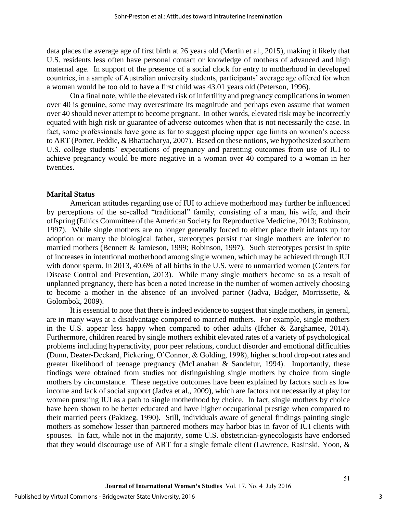data places the average age of first birth at 26 years old (Martin et al., 2015), making it likely that U.S. residents less often have personal contact or knowledge of mothers of advanced and high maternal age. In support of the presence of a social clock for entry to motherhood in developed countries, in a sample of Australian university students, participants' average age offered for when a woman would be too old to have a first child was 43.01 years old (Peterson, 1996).

On a final note, while the elevated risk of infertility and pregnancy complications in women over 40 is genuine, some may overestimate its magnitude and perhaps even assume that women over 40 should never attempt to become pregnant. In other words, elevated risk may be incorrectly equated with high risk or guarantee of adverse outcomes when that is not necessarily the case. In fact, some professionals have gone as far to suggest placing upper age limits on women's access to ART (Porter, Peddie, & Bhattacharya, 2007). Based on these notions, we hypothesized southern U.S. college students' expectations of pregnancy and parenting outcomes from use of IUI to achieve pregnancy would be more negative in a woman over 40 compared to a woman in her twenties.

#### **Marital Status**

American attitudes regarding use of IUI to achieve motherhood may further be influenced by perceptions of the so-called "traditional" family, consisting of a man, his wife, and their offspring (Ethics Committee of the American Society for Reproductive Medicine, 2013; Robinson, 1997). While single mothers are no longer generally forced to either place their infants up for adoption or marry the biological father, stereotypes persist that single mothers are inferior to married mothers (Bennett & Jamieson, 1999; Robinson, 1997). Such stereotypes persist in spite of increases in intentional motherhood among single women, which may be achieved through IUI with donor sperm. In 2013, 40.6% of all births in the U.S. were to unmarried women (Centers for Disease Control and Prevention, 2013). While many single mothers become so as a result of unplanned pregnancy, there has been a noted increase in the number of women actively choosing to become a mother in the absence of an involved partner (Jadva, Badger, Morrissette, & Golombok, 2009).

It is essential to note that there is indeed evidence to suggest that single mothers, in general, are in many ways at a disadvantage compared to married mothers. For example, single mothers in the U.S. appear less happy when compared to other adults (Ifcher & Zarghamee, 2014). Furthermore, children reared by single mothers exhibit elevated rates of a variety of psychological problems including hyperactivity, poor peer relations, conduct disorder and emotional difficulties (Dunn, Deater-Deckard, Pickering, O'Connor, & Golding, 1998), higher school drop-out rates and greater likelihood of teenage pregnancy (McLanahan & Sandefur, 1994). Importantly, these findings were obtained from studies not distinguishing single mothers by choice from single mothers by circumstance. These negative outcomes have been explained by factors such as low income and lack of social support (Jadva et al., 2009), which are factors not necessarily at play for women pursuing IUI as a path to single motherhood by choice. In fact, single mothers by choice have been shown to be better educated and have higher occupational prestige when compared to their married peers (Pakizeg, 1990). Still, individuals aware of general findings painting single mothers as somehow lesser than partnered mothers may harbor bias in favor of IUI clients with spouses. In fact, while not in the majority, some U.S. obstetrician-gynecologists have endorsed that they would discourage use of ART for a single female client (Lawrence, Rasinski, Yoon, &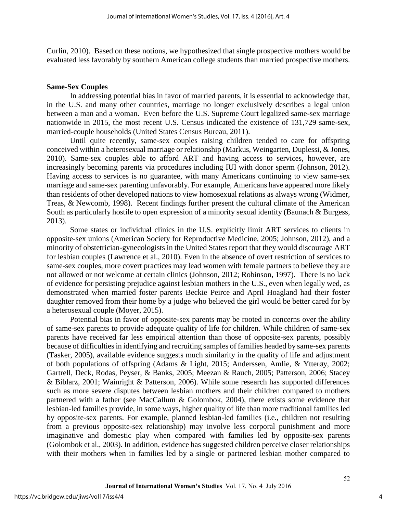Curlin, 2010). Based on these notions, we hypothesized that single prospective mothers would be evaluated less favorably by southern American college students than married prospective mothers.

#### **Same-Sex Couples**

In addressing potential bias in favor of married parents, it is essential to acknowledge that, in the U.S. and many other countries, marriage no longer exclusively describes a legal union between a man and a woman. Even before the U.S. Supreme Court legalized same-sex marriage nationwide in 2015, the most recent U.S. Census indicated the existence of 131,729 same-sex, married-couple households (United States Census Bureau, 2011).

Until quite recently, same-sex couples raising children tended to care for offspring conceived within a heterosexual marriage or relationship (Markus, Weingarten, Duplessi, & Jones, 2010). Same-sex couples able to afford ART and having access to services, however, are increasingly becoming parents via procedures including IUI with donor sperm (Johnson, 2012). Having access to services is no guarantee, with many Americans continuing to view same-sex marriage and same-sex parenting unfavorably. For example, Americans have appeared more likely than residents of other developed nations to view homosexual relations as always wrong (Widmer, Treas, & Newcomb, 1998). Recent findings further present the cultural climate of the American South as particularly hostile to open expression of a minority sexual identity (Baunach & Burgess, 2013).

Some states or individual clinics in the U.S. explicitly limit ART services to clients in opposite-sex unions (American Society for Reproductive Medicine, 2005; Johnson, 2012), and a minority of obstetrician-gynecologists in the United States report that they would discourage ART for lesbian couples (Lawrence et al., 2010). Even in the absence of overt restriction of services to same-sex couples, more covert practices may lead women with female partners to believe they are not allowed or not welcome at certain clinics (Johnson, 2012; Robinson, 1997). There is no lack of evidence for persisting prejudice against lesbian mothers in the U.S., even when legally wed, as demonstrated when married foster parents Beckie Peirce and April Hoagland had their foster daughter removed from their home by a judge who believed the girl would be better cared for by a heterosexual couple (Moyer, 2015).

Potential bias in favor of opposite-sex parents may be rooted in concerns over the ability of same-sex parents to provide adequate quality of life for children. While children of same-sex parents have received far less empirical attention than those of opposite-sex parents, possibly because of difficulties in identifying and recruiting samples of families headed by same-sex parents (Tasker, 2005), available evidence suggests much similarity in the quality of life and adjustment of both populations of offspring (Adams & Light, 2015; Anderssen, Amlie, & Ytterøy, 2002; Gartrell, Deck, Rodas, Peyser, & Banks, 2005; Meezan & Rauch, 2005; Patterson, 2006; Stacey & Biblarz, 2001; Wainright & Patterson, 2006). While some research has supported differences such as more severe disputes between lesbian mothers and their children compared to mothers partnered with a father (see MacCallum & Golombok, 2004), there exists some evidence that lesbian-led families provide, in some ways, higher quality of life than more traditional families led by opposite-sex parents. For example, planned lesbian-led families (i.e., children not resulting from a previous opposite-sex relationship) may involve less corporal punishment and more imaginative and domestic play when compared with families led by opposite-sex parents (Golombok et al., 2003). In addition, evidence has suggested children perceive closer relationships with their mothers when in families led by a single or partnered lesbian mother compared to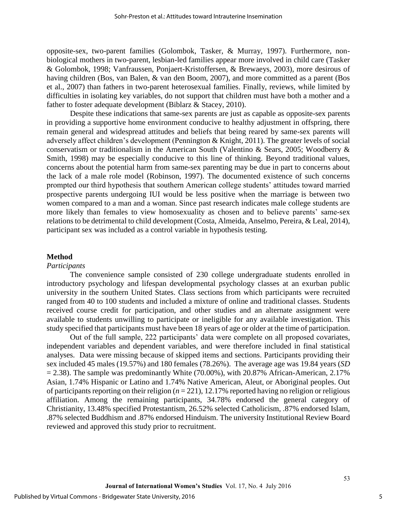opposite-sex, two-parent families (Golombok, Tasker, & Murray, 1997). Furthermore, nonbiological mothers in two-parent, lesbian-led families appear more involved in child care (Tasker & Golombok, 1998; Vanfraussen, Ponjaert-Kristoffersen, & Brewaeys, 2003), more desirous of having children (Bos, van Balen, & van den Boom, 2007), and more committed as a parent (Bos et al., 2007) than fathers in two-parent heterosexual families. Finally, reviews, while limited by difficulties in isolating key variables, do not support that children must have both a mother and a father to foster adequate development (Biblarz & Stacey, 2010).

Despite these indications that same-sex parents are just as capable as opposite-sex parents in providing a supportive home environment conducive to healthy adjustment in offspring, there remain general and widespread attitudes and beliefs that being reared by same-sex parents will adversely affect children's development (Pennington & Knight, 2011). The greater levels of social conservatism or traditionalism in the American South (Valentino & Sears, 2005; Woodberry & Smith, 1998) may be especially conducive to this line of thinking. Beyond traditional values, concerns about the potential harm from same-sex parenting may be due in part to concerns about the lack of a male role model (Robinson, 1997). The documented existence of such concerns prompted our third hypothesis that southern American college students' attitudes toward married prospective parents undergoing IUI would be less positive when the marriage is between two women compared to a man and a woman. Since past research indicates male college students are more likely than females to view homosexuality as chosen and to believe parents' same-sex relations to be detrimental to child development (Costa, Almeida, Anselmo, Pereira, & Leal, 2014), participant sex was included as a control variable in hypothesis testing.

#### **Method**

#### *Participants*

The convenience sample consisted of 230 college undergraduate students enrolled in introductory psychology and lifespan developmental psychology classes at an exurban public university in the southern United States. Class sections from which participants were recruited ranged from 40 to 100 students and included a mixture of online and traditional classes. Students received course credit for participation, and other studies and an alternate assignment were available to students unwilling to participate or ineligible for any available investigation. This study specified that participants must have been 18 years of age or older at the time of participation.

Out of the full sample, 222 participants' data were complete on all proposed covariates, independent variables and dependent variables, and were therefore included in final statistical analyses. Data were missing because of skipped items and sections. Participants providing their sex included 45 males (19.57%) and 180 females (78.26%). The average age was 19.84 years (*SD*  $= 2.38$ ). The sample was predominantly White (70.00%), with 20.87% African-American, 2.17% Asian, 1.74% Hispanic or Latino and 1.74% Native American, Aleut, or Aboriginal peoples. Out of participants reporting on their religion (*n* = 221), 12.17% reported having no religion or religious affiliation. Among the remaining participants, 34.78% endorsed the general category of Christianity, 13.48% specified Protestantism, 26.52% selected Catholicism, .87% endorsed Islam, .87% selected Buddhism and .87% endorsed Hinduism. The university Institutional Review Board reviewed and approved this study prior to recruitment.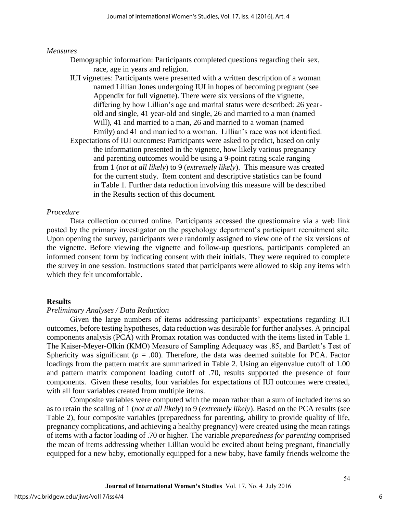#### *Measures*

- Demographic information: Participants completed questions regarding their sex, race, age in years and religion.
- IUI vignettes: Participants were presented with a written description of a woman named Lillian Jones undergoing IUI in hopes of becoming pregnant (see Appendix for full vignette). There were six versions of the vignette, differing by how Lillian's age and marital status were described: 26 yearold and single, 41 year-old and single, 26 and married to a man (named Will), 41 and married to a man, 26 and married to a woman (named Emily) and 41 and married to a woman. Lillian's race was not identified. Expectations of IUI outcomes**:** Participants were asked to predict, based on only the information presented in the vignette, how likely various pregnancy and parenting outcomes would be using a 9-point rating scale ranging
	- from 1 (*not at all likely*) to 9 (*extremely likely*). This measure was created for the current study. Item content and descriptive statistics can be found in Table 1. Further data reduction involving this measure will be described in the Results section of this document.

#### *Procedure*

Data collection occurred online. Participants accessed the questionnaire via a web link posted by the primary investigator on the psychology department's participant recruitment site. Upon opening the survey, participants were randomly assigned to view one of the six versions of the vignette. Before viewing the vignette and follow-up questions, participants completed an informed consent form by indicating consent with their initials. They were required to complete the survey in one session. Instructions stated that participants were allowed to skip any items with which they felt uncomfortable.

#### **Results**

#### *Preliminary Analyses / Data Reduction*

Given the large numbers of items addressing participants' expectations regarding IUI outcomes, before testing hypotheses, data reduction was desirable for further analyses. A principal components analysis (PCA) with Promax rotation was conducted with the items listed in Table 1. The Kaiser-Meyer-Olkin (KMO) Measure of Sampling Adequacy was .85, and Bartlett's Test of Sphericity was significant ( $p = .00$ ). Therefore, the data was deemed suitable for PCA. Factor loadings from the pattern matrix are summarized in Table 2. Using an eigenvalue cutoff of 1.00 and pattern matrix component loading cutoff of .70, results supported the presence of four components. Given these results, four variables for expectations of IUI outcomes were created, with all four variables created from multiple items.

Composite variables were computed with the mean rather than a sum of included items so as to retain the scaling of 1 (*not at all likely*) to 9 (*extremely likely*). Based on the PCA results (see Table 2), four composite variables (preparedness for parenting, ability to provide quality of life, pregnancy complications, and achieving a healthy pregnancy) were created using the mean ratings of items with a factor loading of .70 or higher. The variable *preparedness for parenting* comprised the mean of items addressing whether Lillian would be excited about being pregnant, financially equipped for a new baby, emotionally equipped for a new baby, have family friends welcome the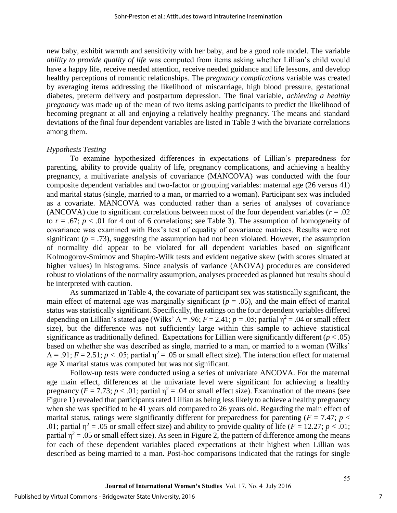new baby, exhibit warmth and sensitivity with her baby, and be a good role model. The variable *ability to provide quality of life* was computed from items asking whether Lillian's child would have a happy life, receive needed attention, receive needed guidance and life lessons, and develop healthy perceptions of romantic relationships. The *pregnancy complications* variable was created by averaging items addressing the likelihood of miscarriage, high blood pressure, gestational diabetes, preterm delivery and postpartum depression. The final variable, *achieving a healthy pregnancy* was made up of the mean of two items asking participants to predict the likelihood of becoming pregnant at all and enjoying a relatively healthy pregnancy. The means and standard deviations of the final four dependent variables are listed in Table 3 with the bivariate correlations among them.

#### *Hypothesis Testing*

To examine hypothesized differences in expectations of Lillian's preparedness for parenting, ability to provide quality of life, pregnancy complications, and achieving a healthy pregnancy, a multivariate analysis of covariance (MANCOVA) was conducted with the four composite dependent variables and two-factor or grouping variables: maternal age (26 versus 41) and marital status (single, married to a man, or married to a woman). Participant sex was included as a covariate. MANCOVA was conducted rather than a series of analyses of covariance (ANCOVA) due to significant correlations between most of the four dependent variables ( $r = .02$ ) to  $r = .67$ ;  $p < .01$  for 4 out of 6 correlations; see Table 3). The assumption of homogeneity of covariance was examined with Box's test of equality of covariance matrices. Results were not significant ( $p = .73$ ), suggesting the assumption had not been violated. However, the assumption of normality did appear to be violated for all dependent variables based on significant Kolmogorov-Smirnov and Shapiro-Wilk tests and evident negative skew (with scores situated at higher values) in histograms. Since analysis of variance (ANOVA) procedures are considered robust to violations of the normality assumption, analyses proceeded as planned but results should be interpreted with caution.

As summarized in Table 4, the covariate of participant sex was statistically significant, the main effect of maternal age was marginally significant ( $p = .05$ ), and the main effect of marital status was statistically significant. Specifically, the ratings on the four dependent variables differed depending on Lillian's stated age (Wilks'  $\Lambda = .96$ ;  $F = 2.41$ ;  $p = .05$ ; partial  $\eta^2 = .04$  or small effect size), but the difference was not sufficiently large within this sample to achieve statistical significance as traditionally defined. Expectations for Lillian were significantly different  $(p < .05)$ based on whether she was described as single, married to a man, or married to a woman (Wilks'  $\Lambda$  = .91;  $F = 2.51$ ;  $p < .05$ ; partial  $\eta^2 = .05$  or small effect size). The interaction effect for maternal age X marital status was computed but was not significant.

Follow-up tests were conducted using a series of univariate ANCOVA. For the maternal age main effect, differences at the univariate level were significant for achieving a healthy pregnancy ( $F = 7.73$ ;  $p < .01$ ; partial  $\eta^2 = .04$  or small effect size). Examination of the means (see Figure 1) revealed that participants rated Lillian as being less likely to achieve a healthy pregnancy when she was specified to be 41 years old compared to 26 years old. Regarding the main effect of marital status, ratings were significantly different for preparedness for parenting ( $F = 7.47$ ;  $p <$ .01; partial  $\eta^2 = .05$  or small effect size) and ability to provide quality of life ( $F = 12.27$ ;  $p < .01$ ; partial  $\eta^2$  = .05 or small effect size). As seen in Figure 2, the pattern of difference among the means for each of these dependent variables placed expectations at their highest when Lillian was described as being married to a man. Post-hoc comparisons indicated that the ratings for single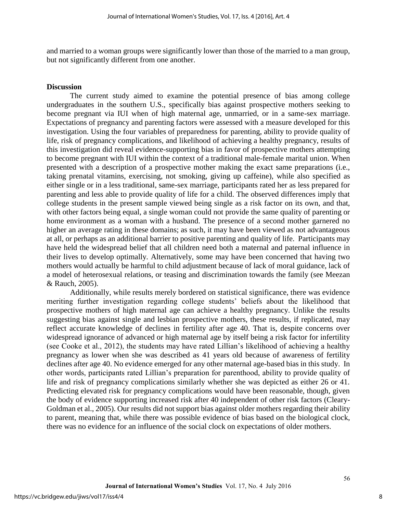and married to a woman groups were significantly lower than those of the married to a man group, but not significantly different from one another.

#### **Discussion**

The current study aimed to examine the potential presence of bias among college undergraduates in the southern U.S., specifically bias against prospective mothers seeking to become pregnant via IUI when of high maternal age, unmarried, or in a same-sex marriage. Expectations of pregnancy and parenting factors were assessed with a measure developed for this investigation. Using the four variables of preparedness for parenting, ability to provide quality of life, risk of pregnancy complications, and likelihood of achieving a healthy pregnancy, results of this investigation did reveal evidence-supporting bias in favor of prospective mothers attempting to become pregnant with IUI within the context of a traditional male-female marital union. When presented with a description of a prospective mother making the exact same preparations (i.e., taking prenatal vitamins, exercising, not smoking, giving up caffeine), while also specified as either single or in a less traditional, same-sex marriage, participants rated her as less prepared for parenting and less able to provide quality of life for a child. The observed differences imply that college students in the present sample viewed being single as a risk factor on its own, and that, with other factors being equal, a single woman could not provide the same quality of parenting or home environment as a woman with a husband. The presence of a second mother garnered no higher an average rating in these domains; as such, it may have been viewed as not advantageous at all, or perhaps as an additional barrier to positive parenting and quality of life. Participants may have held the widespread belief that all children need both a maternal and paternal influence in their lives to develop optimally. Alternatively, some may have been concerned that having two mothers would actually be harmful to child adjustment because of lack of moral guidance, lack of a model of heterosexual relations, or teasing and discrimination towards the family (see Meezan & Rauch, 2005).

Additionally, while results merely bordered on statistical significance, there was evidence meriting further investigation regarding college students' beliefs about the likelihood that prospective mothers of high maternal age can achieve a healthy pregnancy. Unlike the results suggesting bias against single and lesbian prospective mothers, these results, if replicated, may reflect accurate knowledge of declines in fertility after age 40. That is, despite concerns over widespread ignorance of advanced or high maternal age by itself being a risk factor for infertility (see Cooke et al., 2012), the students may have rated Lillian's likelihood of achieving a healthy pregnancy as lower when she was described as 41 years old because of awareness of fertility declines after age 40. No evidence emerged for any other maternal age-based bias in this study. In other words, participants rated Lillian's preparation for parenthood, ability to provide quality of life and risk of pregnancy complications similarly whether she was depicted as either 26 or 41. Predicting elevated risk for pregnancy complications would have been reasonable, though, given the body of evidence supporting increased risk after 40 independent of other risk factors (Cleary-Goldman et al., 2005). Our results did not support bias against older mothers regarding their ability to parent, meaning that, while there was possible evidence of bias based on the biological clock, there was no evidence for an influence of the social clock on expectations of older mothers.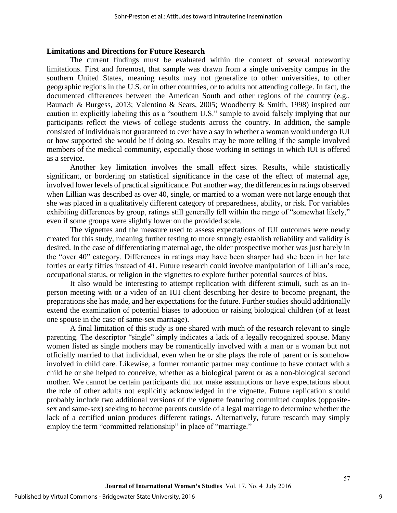#### **Limitations and Directions for Future Research**

The current findings must be evaluated within the context of several noteworthy limitations. First and foremost, that sample was drawn from a single university campus in the southern United States, meaning results may not generalize to other universities, to other geographic regions in the U.S. or in other countries, or to adults not attending college. In fact, the documented differences between the American South and other regions of the country (e.g., Baunach & Burgess, 2013; Valentino & Sears, 2005; Woodberry & Smith, 1998) inspired our caution in explicitly labeling this as a "southern U.S." sample to avoid falsely implying that our participants reflect the views of college students across the country. In addition, the sample consisted of individuals not guaranteed to ever have a say in whether a woman would undergo IUI or how supported she would be if doing so. Results may be more telling if the sample involved members of the medical community, especially those working in settings in which IUI is offered as a service.

Another key limitation involves the small effect sizes. Results, while statistically significant, or bordering on statistical significance in the case of the effect of maternal age, involved lower levels of practical significance. Put another way, the differences in ratings observed when Lillian was described as over 40, single, or married to a woman were not large enough that she was placed in a qualitatively different category of preparedness, ability, or risk. For variables exhibiting differences by group, ratings still generally fell within the range of "somewhat likely," even if some groups were slightly lower on the provided scale.

The vignettes and the measure used to assess expectations of IUI outcomes were newly created for this study, meaning further testing to more strongly establish reliability and validity is desired. In the case of differentiating maternal age, the older prospective mother was just barely in the "over 40" category. Differences in ratings may have been sharper had she been in her late forties or early fifties instead of 41. Future research could involve manipulation of Lillian's race, occupational status, or religion in the vignettes to explore further potential sources of bias.

It also would be interesting to attempt replication with different stimuli, such as an inperson meeting with or a video of an IUI client describing her desire to become pregnant, the preparations she has made, and her expectations for the future. Further studies should additionally extend the examination of potential biases to adoption or raising biological children (of at least one spouse in the case of same-sex marriage).

A final limitation of this study is one shared with much of the research relevant to single parenting. The descriptor "single" simply indicates a lack of a legally recognized spouse. Many women listed as single mothers may be romantically involved with a man or a woman but not officially married to that individual, even when he or she plays the role of parent or is somehow involved in child care. Likewise, a former romantic partner may continue to have contact with a child he or she helped to conceive, whether as a biological parent or as a non-biological second mother. We cannot be certain participants did not make assumptions or have expectations about the role of other adults not explicitly acknowledged in the vignette. Future replication should probably include two additional versions of the vignette featuring committed couples (oppositesex and same-sex) seeking to become parents outside of a legal marriage to determine whether the lack of a certified union produces different ratings. Alternatively, future research may simply employ the term "committed relationship" in place of "marriage."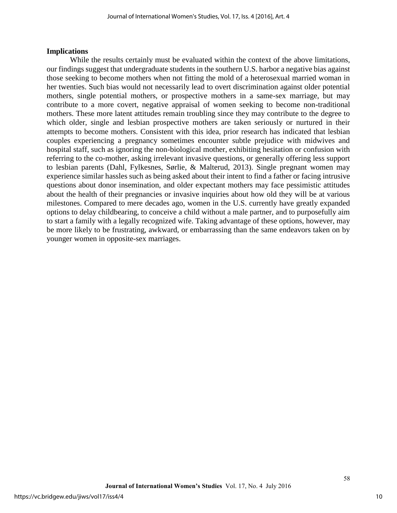#### **Implications**

While the results certainly must be evaluated within the context of the above limitations, our findings suggest that undergraduate students in the southern U.S. harbor a negative bias against those seeking to become mothers when not fitting the mold of a heterosexual married woman in her twenties. Such bias would not necessarily lead to overt discrimination against older potential mothers, single potential mothers, or prospective mothers in a same-sex marriage, but may contribute to a more covert, negative appraisal of women seeking to become non-traditional mothers. These more latent attitudes remain troubling since they may contribute to the degree to which older, single and lesbian prospective mothers are taken seriously or nurtured in their attempts to become mothers. Consistent with this idea, prior research has indicated that lesbian couples experiencing a pregnancy sometimes encounter subtle prejudice with midwives and hospital staff, such as ignoring the non-biological mother, exhibiting hesitation or confusion with referring to the co-mother, asking irrelevant invasive questions, or generally offering less support to lesbian parents (Dahl, Fylkesnes, Sørlie, & Malterud, 2013). Single pregnant women may experience similar hassles such as being asked about their intent to find a father or facing intrusive questions about donor insemination, and older expectant mothers may face pessimistic attitudes about the health of their pregnancies or invasive inquiries about how old they will be at various milestones. Compared to mere decades ago, women in the U.S. currently have greatly expanded options to delay childbearing, to conceive a child without a male partner, and to purposefully aim to start a family with a legally recognized wife. Taking advantage of these options, however, may be more likely to be frustrating, awkward, or embarrassing than the same endeavors taken on by younger women in opposite-sex marriages.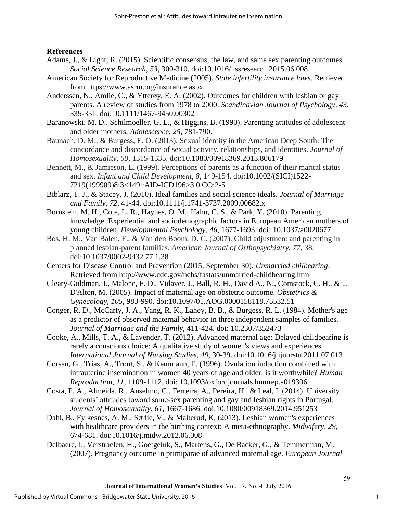## **References**

- Adams, J., & Light, R. (2015). Scientific consensus, the law, and same sex parenting outcomes. *Social Science Research*, *53*, 300-310. doi[:10.1016/j.ssresearch.2015.06.008](http://dx.doi.org/10.1016/j.ssresearch.2015.06.008)
- American Society for Reproductive Medicine (2005). *State infertility insurance laws*. Retrieved from https://www.asrm.org/insurance.aspx
- Anderssen, N., Amlie, C., & Ytterøy, E. A. (2002). Outcomes for children with lesbian or gay parents. A review of studies from 1978 to 2000. *Scandinavian Journal of Psychology*, *43*, 335-351. doi:10.1111/1467-9450.00302
- Baranowski, M. D., Schilmoeller, G. L., & Higgins, B. (1990). Parenting attitudes of adolescent and older mothers. *Adolescence*, *25*, 781-790.
- Baunach, D. M., & Burgess, E. O. (2013). Sexual identity in the American Deep South: The concordance and discordance of sexual activity, relationships, and identities. *Journal of Homosexuality*, *60*, 1315-1335. doi:10.1080/00918369.2013.806179
- Bennett, M., & Jamieson, L. (1999). Perceptions of parents as a function of their marital status and sex. *Infant and Child Development*, *8*, 149-154. doi:10.1002/(SICI)1522- 7219(199909)8:3<149::AID-ICD196>3.0.CO;2-5
- Biblarz, T. J., & Stacey, J. (2010). Ideal families and social science ideals. *Journal of Marriage and Family*, *72*, 41-44. doi:10.1111/j.1741-3737.2009.00682.x
- Bornstein, M. H., Cote, L. R., Haynes, O. M., Hahn, C. S., & Park, Y. (2010). Parenting knowledge: Experiential and sociodemographic factors in European American mothers of young children. *Developmental Psychology*, *46*, 1677-1693. doi: [10.1037/a0020677](http://psycnet.apa.org/doi/10.1037/a0020677)
- Bos, H. M., Van Balen, F., & Van den Boom, D. C. (2007). Child adjustment and parenting in planned lesbian-parent families. *American Journal of Orthopsychiatry*, *77*, 38. doi:10.1037/0002-9432.77.1.38
- Centers for Disease Control and Prevention (2015, September 30). *Unmarried chilbearing*. Retrieved from http://www.cdc.gov/nchs/fastats/unmarried-childbearing.htm
- Cleary-Goldman, J., Malone, F. D., Vidaver, J., Ball, R. H., David A., N., Comstock, C. H., & ... D'Alton, M. (2005). Impact of maternal age on obstetric outcome. *Obstetrics & Gynecology, 105*, 983-990. doi:10.1097/01.AOG.0000158118.75532.51
- Conger, R. D., McCarty, J. A., Yang, R. K., Lahey, B. B., & Burgess, R. L. (1984). Mother's age as a predictor of observed maternal behavior in three independent samples of families. *Journal of Marriage and the Family*, 411-424. doi: 10.2307/352473
- Cooke, A., Mills, T. A., & Lavender, T. (2012). Advanced maternal age: Delayed childbearing is rarely a conscious choice: A qualitative study of women's views and experiences. *International Journal of Nursing Studies*, *49*, 30-39. [doi:10.1016/j.ijnurstu.2011.07.013](http://dx.doi.org/10.1016/j.ijnurstu.2011.07.013)
- Corsan, G., Trias, A., Trout, S., & Kemmann, E. (1996). Ovulation induction combined with intrauterine insemination in women 40 years of age and older: is it worthwhile? *Human Reproduction*, *11*, 1109-1112. doi: 10.1093/oxfordjournals.humrep.a019306
- Costa, P. A., Almeida, R., Anselmo, C., Ferreira, A., Pereira, H., & Leal, I. (2014). University students' attitudes toward same-sex parenting and gay and lesbian rights in Portugal. *Journal of Homosexuality*, *61*, 1667-1686. doi:10.1080/00918369.2014.951253
- Dahl, B., Fylkesnes, A. M., Sørlie, V., & Malterud, K. (2013). Lesbian women's experiences with healthcare providers in the birthing context: A meta-ethnography. *Midwifery*, *29*, 674-681. doi[:10.1016/j.midw.2012.06.008](http://dx.doi.org/10.1016/j.midw.2012.06.008)
- Delbaere, I., Verstraelen, H., Goetgeluk, S., Martens, G., De Backer, G., & Temmerman, M. (2007). Pregnancy outcome in primiparae of advanced maternal age. *European Journal*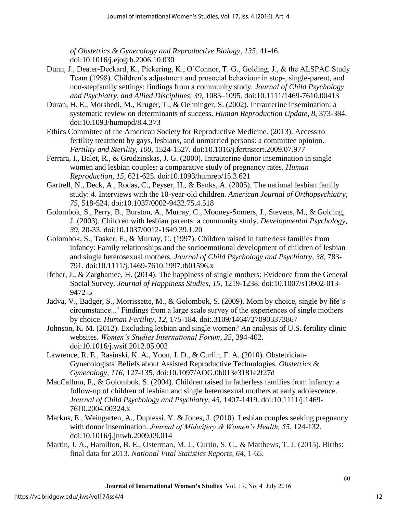*of Obstetrics & Gynecology and Reproductive Biology*, *135*, 41-46. doi[:10.1016/j.ejogrb.2006.10.030](http://dx.doi.org/10.1016%2Fj.ejogrb.2006.10.030)

- Dunn, J., Deater-Deckard, K., Pickering, K., O'Connor, T. G., Golding, J., & the ALSPAC Study Team (1998). Children's adjustment and prosocial behaviour in step-, single-parent, and non-stepfamily settings: findings from a community study. *Journal of Child Psychology and Psychiatry, and Allied Disciplines*, *39*, 1083–1095. doi:10.1111/1469-7610.00413
- Duran, H. E., Morshedi, M., Kruger, T., & Oehninger, S. (2002). Intrauterine insemination: a systematic review on determinants of success. *Human Reproduction Update*, *8*, 373-384. doi:10.1093/humupd/8.4.373
- Ethics Committee of the American Society for Reproductive Medicine. (2013). Access to fertility treatment by gays, lesbians, and unmarried persons: a committee opinion. *Fertility and Sterility*, *100*, 1524-1527. [doi:10.1016/j.fertnstert.2009.07.977](http://dx.doi.org/10.1016/j.fertnstert.2009.07.977)
- Ferrara, I., Balet, R., & Grudzinskas, J. G. (2000). Intrauterine donor insemination in single women and lesbian couples: a comparative study of pregnancy rates. *Human Reproduction*, *15*, 621-625. doi:10.1093/humrep/15.3.621
- Gartrell, N., Deck, A., Rodas, C., Peyser, H., & Banks, A. (2005). The national lesbian family study: 4. Interviews with the 10-year-old children. *American Journal of Orthopsychiatry*, *75*, 518-524. doi[:10.1037/0002-9432.75.4.518](http://psycnet.apa.org/doi/10.1037/0002-9432.75.4.518)
- Golombok, S., Perry, B., Burston, A., Murray, C., Mooney-Somers, J., Stevens, M., & Golding, J. (2003). Children with lesbian parents: a community study. *Developmental Psychology*, *39*, 20-33. doi[:10.1037/0012-1649.39.1.20](http://psycnet.apa.org/doi/10.1037/0012-1649.39.1.20)
- Golombok, S., Tasker, F., & Murray, C. (1997). Children raised in fatherless families from infancy: Family relationships and the socioemotional development of children of lesbian and single heterosexual mothers. *Journal of Child Psychology and Psychiatry*, *38*, 783- 791. doi:10.1111/j.1469-7610.1997.tb01596.x
- Ifcher, J., & Zarghamee, H. (2014). The happiness of single mothers: Evidence from the General Social Survey. *Journal of Happiness Studies, 15*, 1219-1238. doi[:10.1007/s10902-013-](http://dx.doi.org.ezproxy.selu.edu/10.1007/s10902-013-9472-5) [9472-5](http://dx.doi.org.ezproxy.selu.edu/10.1007/s10902-013-9472-5)
- Jadva, V., Badger, S., Morrissette, M., & Golombok, S. (2009). Mom by choice, single by life's circumstance...' Findings from a large scale survey of the experiences of single mothers by choice. *Human Fertility*, *12*, 175-184. doi:.3109/14647270903373867
- Johnson, K. M. (2012). Excluding lesbian and single women? An analysis of U.S. fertility clinic websites. *Women's Studies International Forum*, *35*, 394-402. doi:10.1016/j.wsif.2012.05.002
- Lawrence, R. E., Rasinski, K. A., Yoon, J. D., & Curlin, F. A. (2010). Obstetrician-Gynecologists' Beliefs about Assisted Reproductive Technologies. *Obstetrics & Gynecology, 116*, 127-135. doi:10.1097/AOG.0b013e3181e2f27d
- MacCallum, F., & Golombok, S. (2004). Children raised in fatherless families from infancy: a follow-up of children of lesbian and single heterosexual mothers at early adolescence. *Journal of Child Psychology and Psychiatry*, *45*, 1407-1419. doi:10.1111/j.1469- 7610.2004.00324.x
- Markus, E., Weingarten, A., Duplessi, Y. & Jones, J. (2010). Lesbian couples seeking pregnancy with donor insemination. *Journal of Midwifery & Women's Health, 55*, 124-132. doi:10.1016/j.jmwh.2009.09.014
- Martin, J. A., Hamilton, B. E., Osterman, M. J., Curtin, S. C., & Matthews, T. J. (2015). Births: final data for 2013. *National Vital Statistics Reports, 64*, 1-65.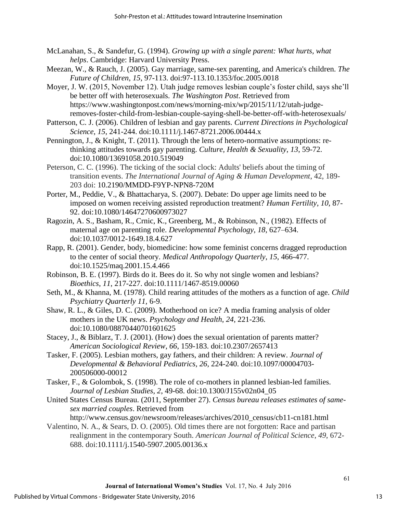- McLanahan, S., & Sandefur, G. (1994). *Growing up with a single parent: What hurts, what helps*. Cambridge: Harvard University Press.
- Meezan, W., & Rauch, J. (2005). Gay marriage, same-sex parenting, and America's children. *The Future of Children*, *15*, 97-113. doi:97-113.10.1353/foc.2005.0018
- Moyer, J. W. (2015, November 12). Utah judge removes lesbian couple's foster child, says she'll be better off with heterosexuals. *The Washington Post*. Retrieved from https://www.washingtonpost.com/news/morning-mix/wp/2015/11/12/utah-judgeremoves-foster-child-from-lesbian-couple-saying-shell-be-better-off-with-heterosexuals/
- Patterson, C. J. (2006). Children of lesbian and gay parents. *Current Directions in Psychological Science*, *15*, 241-244. doi:10.1111/j.1467-8721.2006.00444.x
- Pennington, J., & Knight, T. (2011). Through the lens of hetero-normative assumptions: rethinking attitudes towards gay parenting. *Culture, Health & Sexuality*, *13*, 59-72. doi:10.1080/13691058.2010.519049
- Peterson, C. C. (1996). The ticking of the social clock: Adults' beliefs about the timing of transition events. *The International Journal of Aging & Human Development*, 42, 189- 203 doi: 10.2190/MMDD-F9YP-NPN8-720M
- Porter, M., Peddie, V., & Bhattacharya, S. (2007). Debate: Do upper age limits need to be imposed on women receiving assisted reproduction treatment? *Human Fertility*, *10*, 87- 92. doi:10.1080/14647270600973027
- Ragozin, A. S., Basham, R., Crnic, K., Greenberg, M., & Robinson, N., (1982). Effects of maternal age on parenting role. *Developmental Psychology*, *18*, 627–634. doi:10.1037/0012-1649.18.4.627
- Rapp, R. (2001). Gender, body, biomedicine: how some feminist concerns dragged reproduction to the center of social theory. *Medical Anthropology Quarterly*, *15*, 466-477. doi:10.1525/maq.2001.15.4.466
- Robinson, B. E. (1997). Birds do it. Bees do it. So why not single women and lesbians? *Bioethics*, *11*, 217-227. doi:10.1111/1467-8519.00060
- Seth, M., & Khanna, M. (1978). Child rearing attitudes of the mothers as a function of age. *Child Psychiatry Quarterly 11,* 6-9.
- Shaw, R. L., & Giles, D. C. (2009). Motherhood on ice? A media framing analysis of older mothers in the UK news. *Psychology and Health*, *24*, 221-236. doi:10.1080/08870440701601625
- Stacey, J., & Biblarz, T. J. (2001). (How) does the sexual orientation of parents matter? *American Sociological Review*, *66*, 159-183. doi:10.2307/2657413
- Tasker, F. (2005). Lesbian mothers, gay fathers, and their children: A review. *Journal of Developmental & Behavioral Pediatrics*, *26*, 224-240. doi:10.1097/00004703- 200506000-00012
- Tasker, F., & Golombok, S. (1998). The role of co-mothers in planned lesbian-led families. *Journal of Lesbian Studies*, *2*, 49-68. doi:10.1300/J155v02n04\_05
- United States Census Bureau. (2011, September 27). *Census bureau releases estimates of samesex married couples*. Retrieved from
	- [http://www.census.gov/newsroom/releases/archives/2010\\_census/cb11-cn181.html](http://www.census.gov/newsroom/releases/archives/2010_census/cb11-cn181.html)
- Valentino, N. A., & Sears, D. O. (2005). Old times there are not forgotten: Race and partisan realignment in the contemporary South. *American Journal of Political Science*, *49*, 672- 688. doi:10.1111/j.1540-5907.2005.00136.x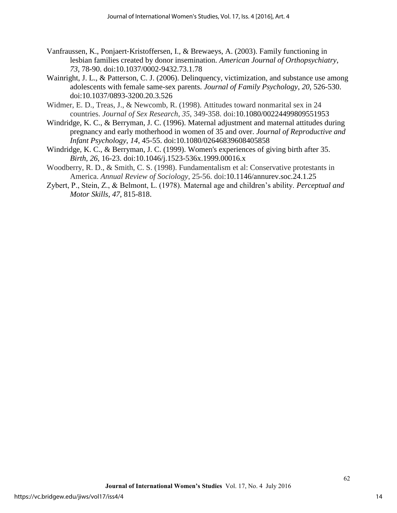- Vanfraussen, K., Ponjaert‐Kristoffersen, I., & Brewaeys, A. (2003). Family functioning in lesbian families created by donor insemination. *American Journal of Orthopsychiatry*, *73*, 78-90. doi:10.1037/0002-9432.73.1.78
- Wainright, J. L., & Patterson, C. J. (2006). Delinquency, victimization, and substance use among adolescents with female same-sex parents. *Journal of Family Psychology*, *20*, 526-530. doi[:10.1037/0893-3200.20.3.526](http://psycnet.apa.org/doi/10.1037/0893-3200.20.3.526)
- Widmer, E. D., Treas, J., & Newcomb, R. (1998). Attitudes toward nonmarital sex in 24 countries. *Journal of Sex Research*, *35*, 349-358. doi:10.1080/00224499809551953
- Windridge, K. C., & Berryman, J. C. (1996). Maternal adjustment and maternal attitudes during pregnancy and early motherhood in women of 35 and over. *Journal of Reproductive and Infant Psychology*, *14*, 45-55. doi:10.1080/02646839608405858
- Windridge, K. C., & Berryman, J. C. (1999). Women's experiences of giving birth after 35. *Birth*, *26*, 16-23. doi:10.1046/j.1523-536x.1999.00016.x
- Woodberry, R. D., & Smith, C. S. (1998). Fundamentalism et al: Conservative protestants in America. *Annual Review of Sociology*, 25-56. doi:10.1146/annurev.soc.24.1.25
- Zybert, P., Stein, Z., & Belmont, L. (1978). Maternal age and children's ability. *Perceptual and Motor Skills*, *47*, 815-818.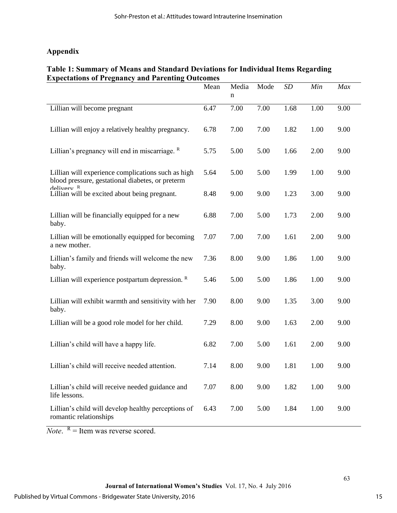## **Appendix**

## **Table 1: Summary of Means and Standard Deviations for Individual Items Regarding Expectations of Pregnancy and Parenting Outcomes**

|                                                                                                        | Mean | Media<br>n | Mode | <b>SD</b> | Min  | Max  |
|--------------------------------------------------------------------------------------------------------|------|------------|------|-----------|------|------|
| Lillian will become pregnant                                                                           | 6.47 | 7.00       | 7.00 | 1.68      | 1.00 | 9.00 |
| Lillian will enjoy a relatively healthy pregnancy.                                                     | 6.78 | 7.00       | 7.00 | 1.82      | 1.00 | 9.00 |
| Lillian's pregnancy will end in miscarriage. $R$                                                       | 5.75 | 5.00       | 5.00 | 1.66      | 2.00 | 9.00 |
| Lillian will experience complications such as high<br>blood pressure, gestational diabetes, or preterm | 5.64 | 5.00       | 5.00 | 1.99      | 1.00 | 9.00 |
| $\text{A}\text{div}$ rv $\text{R}$<br>Lillian will be excited about being pregnant.                    | 8.48 | 9.00       | 9.00 | 1.23      | 3.00 | 9.00 |
| Lillian will be financially equipped for a new<br>baby.                                                | 6.88 | 7.00       | 5.00 | 1.73      | 2.00 | 9.00 |
| Lillian will be emotionally equipped for becoming<br>a new mother.                                     | 7.07 | 7.00       | 7.00 | 1.61      | 2.00 | 9.00 |
| Lillian's family and friends will welcome the new<br>baby.                                             | 7.36 | 8.00       | 9.00 | 1.86      | 1.00 | 9.00 |
| Lillian will experience postpartum depression. $R$                                                     | 5.46 | 5.00       | 5.00 | 1.86      | 1.00 | 9.00 |
| Lillian will exhibit warmth and sensitivity with her<br>baby.                                          | 7.90 | 8.00       | 9.00 | 1.35      | 3.00 | 9.00 |
| Lillian will be a good role model for her child.                                                       | 7.29 | 8.00       | 9.00 | 1.63      | 2.00 | 9.00 |
| Lillian's child will have a happy life.                                                                | 6.82 | 7.00       | 5.00 | 1.61      | 2.00 | 9.00 |
| Lillian's child will receive needed attention.                                                         | 7.14 | 8.00       | 9.00 | 1.81      | 1.00 | 9.00 |
| Lillian's child will receive needed guidance and<br>life lessons.                                      | 7.07 | 8.00       | 9.00 | 1.82      | 1.00 | 9.00 |
| Lillian's child will develop healthy perceptions of<br>romantic relationships                          | 6.43 | 7.00       | 5.00 | 1.84      | 1.00 | 9.00 |

*Note*.  $R =$  Item was reverse scored.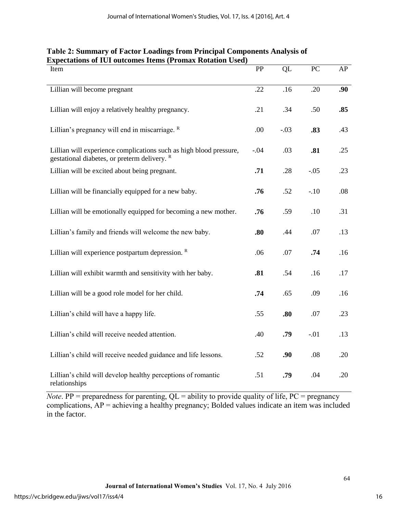| Item                                                                                                                          | PP     | QL     | PC     | AP  |
|-------------------------------------------------------------------------------------------------------------------------------|--------|--------|--------|-----|
| Lillian will become pregnant                                                                                                  | .22    | .16    | .20    | .90 |
| Lillian will enjoy a relatively healthy pregnancy.                                                                            | .21    | .34    | .50    | .85 |
| Lillian's pregnancy will end in miscarriage. R                                                                                | .00    | $-.03$ | .83    | .43 |
| Lillian will experience complications such as high blood pressure,<br>gestational diabetes, or preterm delivery. <sup>R</sup> | $-.04$ | .03    | .81    | .25 |
| Lillian will be excited about being pregnant.                                                                                 | .71    | .28    | $-.05$ | .23 |
| Lillian will be financially equipped for a new baby.                                                                          | .76    | .52    | $-.10$ | .08 |
| Lillian will be emotionally equipped for becoming a new mother.                                                               | .76    | .59    | .10    | .31 |
| Lillian's family and friends will welcome the new baby.                                                                       | .80    | .44    | .07    | .13 |
| Lillian will experience postpartum depression. $R$                                                                            | .06    | .07    | .74    | .16 |
| Lillian will exhibit warmth and sensitivity with her baby.                                                                    | .81    | .54    | .16    | .17 |
| Lillian will be a good role model for her child.                                                                              | .74    | .65    | .09    | .16 |
| Lillian's child will have a happy life.                                                                                       | .55    | .80    | .07    | .23 |
| Lillian's child will receive needed attention.                                                                                | .40    | .79    | $-.01$ | .13 |
| Lillian's child will receive needed guidance and life lessons.                                                                | .52    | .90    | .08    | .20 |
| Lillian's child will develop healthy perceptions of romantic<br>relationships                                                 | .51    | .79    | .04    | .20 |

## **Table 2: Summary of Factor Loadings from Principal Components Analysis of Expectations of IUI outcomes Items (Promax Rotation Used)**

*Note*. PP = preparedness for parenting,  $QL =$  ability to provide quality of life,  $PC =$  pregnancy complications, AP = achieving a healthy pregnancy; Bolded values indicate an item was included in the factor.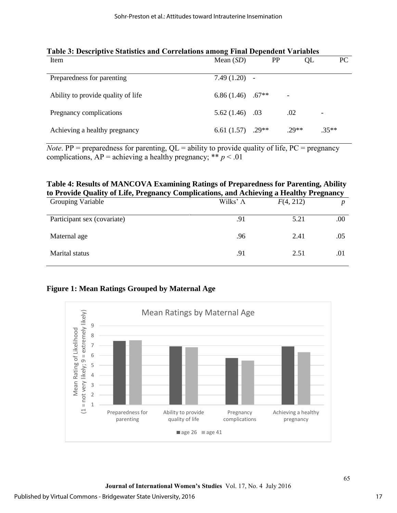| Tabic 9. Descriptive Statistics and Correlations among Final Dependent Variables |                                 |     |                   |         |  |  |
|----------------------------------------------------------------------------------|---------------------------------|-----|-------------------|---------|--|--|
| Item                                                                             | Mean $(SD)$                     | PP  | QL                | PC.     |  |  |
|                                                                                  |                                 |     |                   |         |  |  |
| Preparedness for parenting                                                       | $7.49(1.20) -$                  |     |                   |         |  |  |
|                                                                                  |                                 |     |                   |         |  |  |
| Ability to provide quality of life                                               | 6.86 $(1.46)$ .67 <sup>**</sup> |     | $\qquad \qquad -$ |         |  |  |
|                                                                                  |                                 |     |                   |         |  |  |
| Pregnancy complications                                                          | 5.62(1.46)                      | .03 | .02               | -       |  |  |
|                                                                                  |                                 |     |                   |         |  |  |
| Achieving a healthy pregnancy                                                    | 6.61 $(1.57)$ .29**             |     | $.29**$           | $.35**$ |  |  |
|                                                                                  |                                 |     |                   |         |  |  |

## **Table 3: Descriptive Statistics and Correlations among Final Dependent Variables**

*Note*. PP = preparedness for parenting,  $QL =$  ability to provide quality of life,  $PC =$  pregnancy complications,  $AP =$  achieving a healthy pregnancy; \*\*  $p < .01$ 

## **Table 4: Results of MANCOVA Examining Ratings of Preparedness for Parenting, Ability to Provide Quality of Life, Pregnancy Complications, and Achieving a Healthy Pregnancy**

| <b>Grouping Variable</b>    | Wilks' $\Lambda$ | F(4, 212) | ີ   |
|-----------------------------|------------------|-----------|-----|
| Participant sex (covariate) | .91              | 5.21      | .00 |
| Maternal age                | .96              | 2.41      | .05 |
| Marital status              | .91              | 2.51      | .01 |

## **Figure 1: Mean Ratings Grouped by Maternal Age**